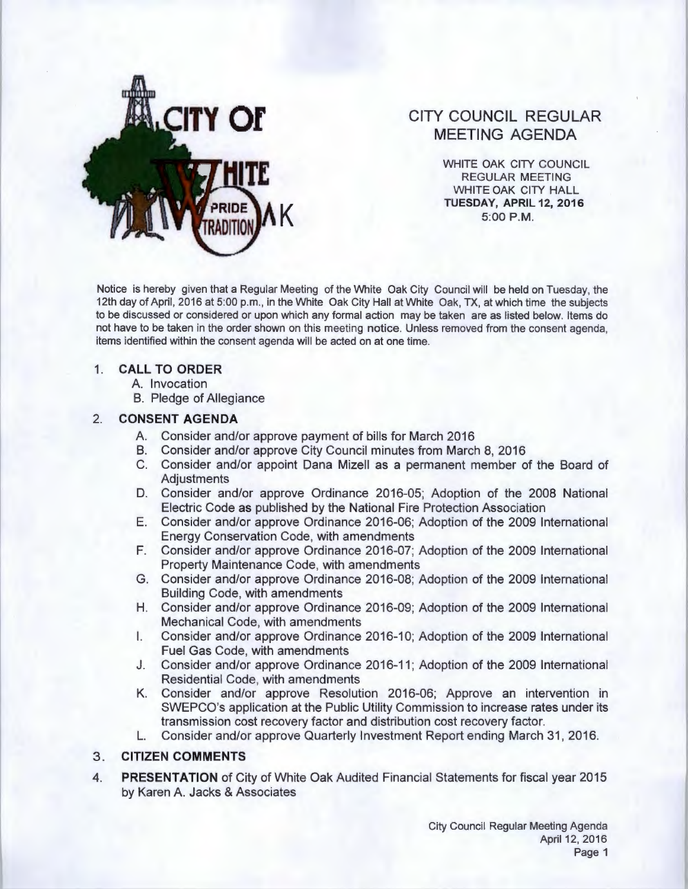

# **CITY COUNCIL REGULAR MEETING AGENDA**

WHITE OAK CITY COUNCIL REGULAR MEETING WHITE OAK CITY HALL **K TUESDAY, APRIL 12, 2016**  5:00 P.M.

Notice is hereby given that a Regular Meeting of the White Oak City Council will be held on Tuesday, the 12th day of April, 2016 at 5:00 p.m., in the White Oak City Hall at White Oak, TX, at which time the subjects to be discussed or considered or upon which any formal action may be taken are as listed below. Items do not have to be taken in the order shown on this meeting notice. Unless removed from the consent agenda, items identified within the consent agenda will be acted on at one time.

### 1. **CALL TO ORDER**

A. Invocation

B. Pledge of Allegiance

# 2. **CONSENT AGENDA**

- A. Consider and/or approve payment of bills for March 2016
- B. Consider and/or approve City Council minutes from March 8, 2016
- C. Consider and/or appoint Oana Mizell as a permanent member of the Board of **Adjustments**
- D. Consider and/or approve Ordinance 2016-05; Adoption of the 2008 National Electric Code as published by the National Fire Protection Association
- **E.** Consider and/or approve Ordinance 2016-06; Adoption of the 2009 International Energy Conservation Code, with amendments
- F. Consider and/or approve Ordinance 2016-07; Adoption of the 2009 International Property Maintenance Code, with amendments
- G. Consider and/or approve Ordinance 2016-08; Adoption of the 2009 International Building Code, with amendments
- **H.** Consider and/or approve Ordinance 2016-09; Adoption of the 2009 International Mechanical Code, with amendments
- I. Consider and/or approve Ordinance 2016-10; Adoption of the 2009 International Fuel Gas Code, with amendments
- J. Consider and/or approve Ordinance 2016-11 ; Adoption of the 2009 International Residential Code, with amendments
- K. Consider and/or approve Resolution 2016-06; Approve an intervention in SWEPCO's application at the Public Utility Commission to increase rates under its transmission cost recovery factor and distribution cost recovery factor.
- **L.** Consider and/or approve Quarterly Investment Report ending March 31 , 2016.

### 3. **CITIZEN COMMENTS**

**4. PRESENTATION** of City of White Oak Audited Financial Statements for fiscal year 2015 by Karen A. Jacks & Associates